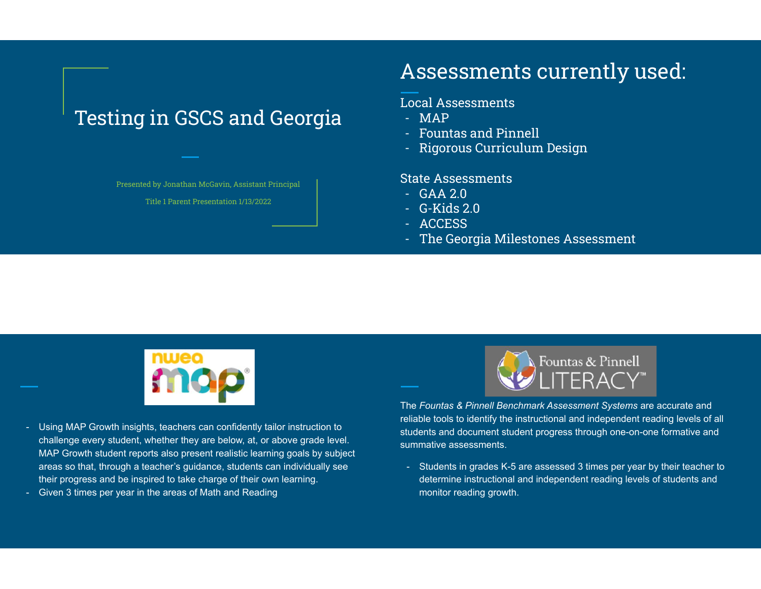# Testing in GSCS and Georgia

Presented by Jonathan McGavin, Assistant Principal

Title 1 Parent Presentation 1/13/2022

# Assessments currently used:

### Local Assessments

- MAP
- Fountas and Pinnell
- Rigorous Curriculum Design

### State Assessments

- GAA 2.0
- G-Kids 2.0
- ACCESS
- The Georgia Milestones Assessment



- Using MAP Growth insights, teachers can confidently tailor instruction to challenge every student, whether they are below, at, or above grade level. MAP Growth student reports also present realistic learning goals by subject areas so that, through a teacher's guidance, students can individually see their progress and be inspired to take charge of their own learning.
- Given 3 times per year in the areas of Math and Reading



The *Fountas & Pinnell Benchmark Assessment Systems* are accurate and reliable tools to identify the instructional and independent reading levels of all students and document student progress through one-on-one formative and summative assessments.

- Students in grades K-5 are assessed 3 times per year by their teacher to determine instructional and independent reading levels of students and monitor reading growth.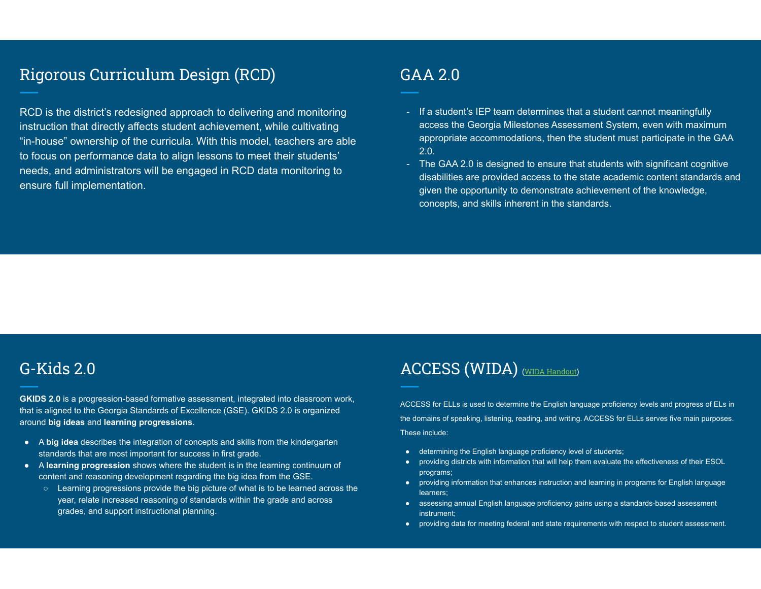### Rigorous Curriculum Design (RCD)

RCD is the district's redesigned approach to delivering and monitoring instruction that directly affects student achievement, while cultivating "in-house" ownership of the curricula. With this model, teachers are able to focus on performance data to align lessons to meet their students' needs, and administrators will be engaged in RCD data monitoring to ensure full implementation.

### GAA 2.0

- If a student's IEP team determines that a student cannot meaningfully access the Georgia Milestones Assessment System, even with maximum appropriate accommodations, then the student must participate in the GAA 2.0.
- The GAA 2.0 is designed to ensure that students with significant cognitive disabilities are provided access to the state academic content standards and given the opportunity to demonstrate achievement of the knowledge, concepts, and skills inherent in the standards.

### G-Kids 2.0

**GKIDS 2.0** is a progression-based formative assessment, integrated into classroom work, that is aligned to the Georgia Standards of Excellence (GSE). GKIDS 2.0 is organized around **big ideas** and **learning progressions**.

- A **big idea** describes the integration of concepts and skills from the kindergarten standards that are most important for success in first grade.
- A **learning progression** shows where the student is in the learning continuum of content and reasoning development regarding the big idea from the GSE.
	- Learning progressions provide the big picture of what is to be learned across the year, relate increased reasoning of standards within the grade and across grades, and support instructional planning.

### ACCESS (WIDA) (WIDA Handout)

ACCESS for ELLs is used to determine the English language proficiency levels and progress of ELs in the domains of speaking, listening, reading, and writing. ACCESS for ELLs serves five main purposes. These include:

- determining the English language proficiency level of students;
- providing districts with information that will help them evaluate the effectiveness of their ESOL programs;
- providing information that enhances instruction and learning in programs for English language learners;
- assessing annual English language proficiency gains using a standards-based assessment instrument;
- providing data for meeting federal and state requirements with respect to student assessment.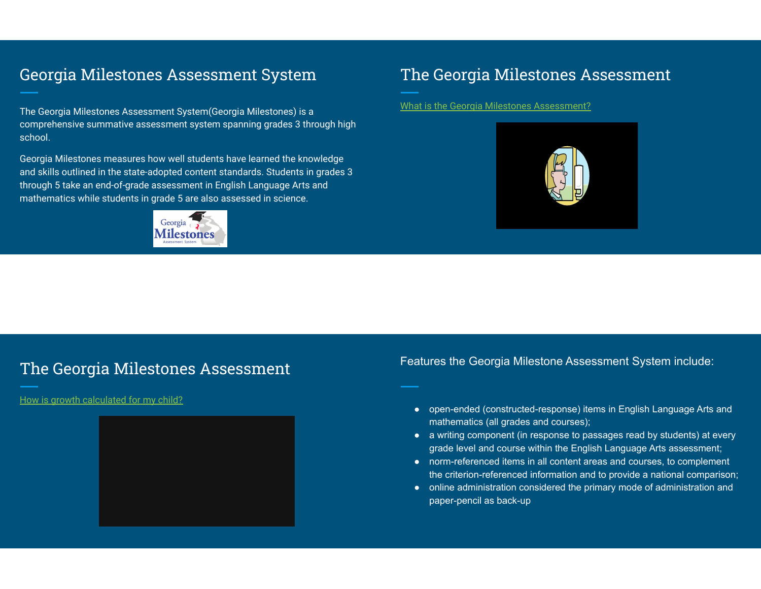### Georgia Milestones Assessment System

The Georgia Milestones Assessment System(Georgia Milestones) is a comprehensive summative assessment system spanning grades 3 through high school.

Georgia Milestones measures how well students have learned the knowledge and skills outlined in the state-adopted content standards. Students in grades 3 through 5 take an end-of-grade assessment in English Language Arts and mathematics while students in grade 5 are also assessed in science.



### The Georgia Milestones Assessment

What is the Georgia Milestones Assessment?



### The Georgia Milestones Assessment

How is growth calculated for my child?



Features the Georgia Milestone Assessment System include:

- open-ended (constructed-response) items in English Language Arts and mathematics (all grades and courses);
- a writing component (in response to passages read by students) at every grade level and course within the English Language Arts assessment;
- norm-referenced items in all content areas and courses, to complement the criterion-referenced information and to provide a national comparison;
- online administration considered the primary mode of administration and paper-pencil as back-up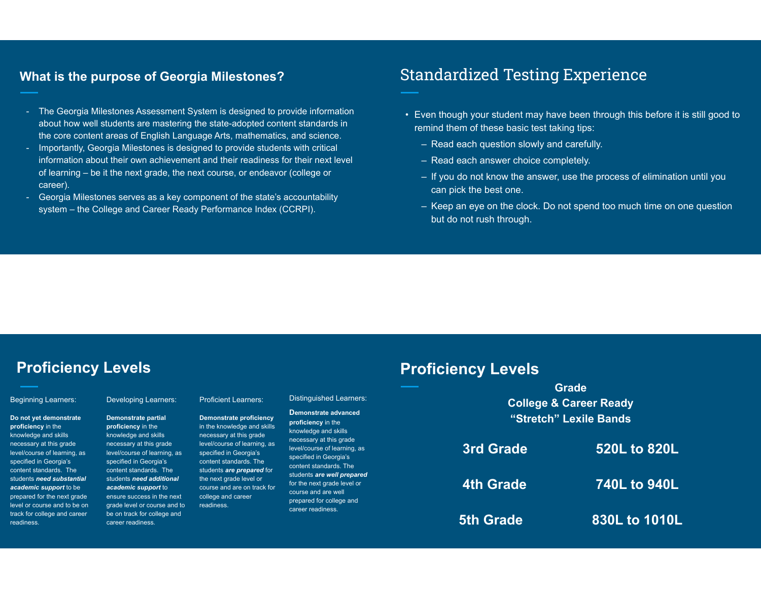### **What is the purpose of Georgia Milestones?**

- The Georgia Milestones Assessment System is designed to provide information about how well students are mastering the state-adopted content standards in the core content areas of English Language Arts, mathematics, and science.
- Importantly, Georgia Milestones is designed to provide students with critical information about their own achievement and their readiness for their next level of learning – be it the next grade, the next course, or endeavor (college or career).
- Georgia Milestones serves as a key component of the state's accountability system – the College and Career Ready Performance Index (CCRPI).

### Standardized Testing Experience

- Even though your student may have been through this before it is still good to remind them of these basic test taking tips:
	- Read each question slowly and carefully.
	- Read each answer choice completely.

**Proficiency Levels**

- If you do not know the answer, use the process of elimination until you can pick the best one.
- Keep an eye on the clock. Do not spend too much time on one question but do not rush through.

**5th Grade 830L to 1010L**

### **Proficiency Levels**

#### Beginning Learners:

**Do not yet demonstrate proficiency** in the knowledge and skills necessary at this grade level/course of learning specified in Georgia's content standards. Th students *need* substa *academic support* to prepared for the next qu level or course and to b track for college and ca readiness*.*

|                                    |                                                                                                                                         |                                                                                                                         |                                                                                                                                        |                  | <b>Grade</b>                      |
|------------------------------------|-----------------------------------------------------------------------------------------------------------------------------------------|-------------------------------------------------------------------------------------------------------------------------|----------------------------------------------------------------------------------------------------------------------------------------|------------------|-----------------------------------|
|                                    | <b>Developing Learners:</b>                                                                                                             | <b>Proficient Learners:</b>                                                                                             | <b>Distinguished Learners:</b>                                                                                                         |                  | <b>College &amp; Career Ready</b> |
| te                                 | Demonstrate partial<br>proficiency in the                                                                                               | <b>Demonstrate proficiency</b><br>in the knowledge and skills                                                           | Demonstrate advanced<br>proficiency in the<br>knowledge and skills                                                                     |                  | "Stretch" Lexile Bands            |
| as.                                | knowledge and skills<br>necessary at this grade<br>level/course of learning, as<br>specified in Georgia's                               | necessary at this grade<br>level/course of learning, as<br>specified in Georgia's<br>content standards. The             | necessary at this grade<br>level/course of learning, as<br>specified in Georgia's                                                      | 3rd Grade        | 520L to 820L                      |
| <b>ntial</b><br>œ.<br>rade<br>e on | content standards. The<br>students need additional<br>academic support to<br>ensure success in the next<br>grade level or course and to | students are prepared for<br>the next grade level or<br>course and are on track for<br>college and career<br>readiness. | content standards. The<br>students are well prepared<br>for the next grade level or<br>course and are well<br>prepared for college and | <b>4th Grade</b> | 740L to 940L                      |
| <b>reer</b>                        | be on track for college and<br>career readiness.                                                                                        |                                                                                                                         | career readiness.                                                                                                                      | <b>5th Grade</b> | 830L to 1010l                     |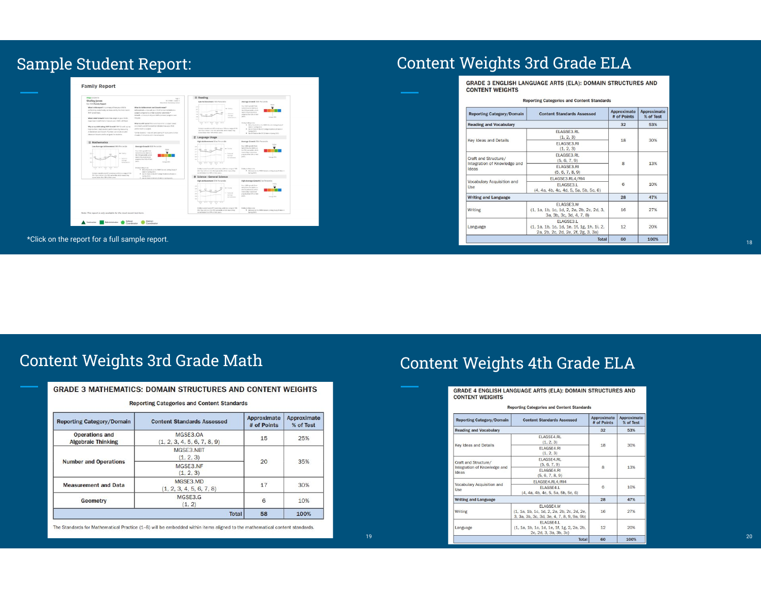## Sample Student Report:

| <b>MOD</b> GROWTH                                                                                                                                                                                                                                                                                                                                                           | Page 1                                                                                                                                                                                                                                                                                                                                                                      | E Reading                                                                                                                                                                                                                                                                                          |                                                                                                                                                                                                                                                                                                                                                      |
|-----------------------------------------------------------------------------------------------------------------------------------------------------------------------------------------------------------------------------------------------------------------------------------------------------------------------------------------------------------------------------|-----------------------------------------------------------------------------------------------------------------------------------------------------------------------------------------------------------------------------------------------------------------------------------------------------------------------------------------------------------------------------|----------------------------------------------------------------------------------------------------------------------------------------------------------------------------------------------------------------------------------------------------------------------------------------------------|------------------------------------------------------------------------------------------------------------------------------------------------------------------------------------------------------------------------------------------------------------------------------------------------------------------------------------------------------|
| Shelley Jones<br>Fall 2020 Family Report                                                                                                                                                                                                                                                                                                                                    | ID STONE   Center 5.<br>Mess tende Elementary School                                                                                                                                                                                                                                                                                                                        | Low Achievement 18th Precentile                                                                                                                                                                                                                                                                    | Average Growth 50th Percentile                                                                                                                                                                                                                                                                                                                       |
| What is this report? A summary of how your child is<br>performing academically, as measured by the most recent.<br>MAP Growth best.<br>What is MAP Grewth? A test that adwin to your child's<br>responses in real time to measure your child's skill level.<br>Why is my child taking NAP Grawth? MAP Granth scores<br>help teachers check student performance by measuring | What do Achievement and Growth mean?<br>Achievement-How usef sour child has learned skills in a<br>subject compared to similar students nationwide."<br>Growth-American of your child's personal progress over<br>TH year.<br>What is a RIT sented The council serve for a subject haved<br>on a funch unt different that independent your child<br>performed in a subject. | 28<br>w Universi<br>$\sim$<br>$-$<br><b><i><u>April Hotel</u></i></b><br>$-1$<br>144<br>Arrest<br>Articulation<br><b>TOP</b><br>$\sim$<br><b>STAR</b><br>$\sim$<br>Under's menulisance (III) scored assume (III) on a range of 100-<br>126 Your chief is in the 1991 percentiles adjoin-mount they | Tour child's people from<br>Fell 2019 to full 2020 is an<br>the 52th percentils which<br>means they made more<br>progress than \$2% of their<br>and S.<br>Average Site.<br><b>Parker is Waty to be.</b><br>. After Standards on the MMA Generic Uniting Study (F<br>Islamin Spring 2021)<br>. And the first or the ATT College finalisms of sales in |
| Achievement and Growth, Teachers use results to talker<br>dasar som lessons and to set asals for students.                                                                                                                                                                                                                                                                  | NimBy Buderts - Kds with Jame starting fift poors, came number                                                                                                                                                                                                                                                                                                              | screen better than 1944 of their pears.                                                                                                                                                                                                                                                            | Saving 20213<br>* Aid on first or the SAT of takes in Some 2020;                                                                                                                                                                                                                                                                                     |
|                                                                                                                                                                                                                                                                                                                                                                             | clients of intraction, and in the same grade                                                                                                                                                                                                                                                                                                                                | E' Language Usage                                                                                                                                                                                                                                                                                  |                                                                                                                                                                                                                                                                                                                                                      |
| 图 Mathematics                                                                                                                                                                                                                                                                                                                                                               |                                                                                                                                                                                                                                                                                                                                                                             | High Achievement 92rd Percentile                                                                                                                                                                                                                                                                   | Average Grewth 500: Percentile                                                                                                                                                                                                                                                                                                                       |
| Low Average Achievement 38th Fercentile<br>w Galine<br>Network<br>Average.<br>194<br>Azionesis<br>bray have steen<br>Green Auto                                                                                                                                                                                                                                             | Associate Growth Vich Percentile<br>Your child's growth from<br>Full 2019 to Fall 2020 in an<br>the 11th percentile, which<br>means they made expre-<br>progress than \$5% of their<br>port.<br>Award 9001<br>Trailer K. Bully St. Inc.                                                                                                                                     | 250<br>234 - United<br>$277 - 256$<br>258<br>$\sim$<br>National<br>$\sim$<br>Automotiv<br>100<br>Achievement<br>Ad to - Medal - Sang - Ad at<br><b>Hotel</b>                                                                                                                                       | Your child's growth from<br>Feb 2010 to Fe1 2620 x m<br>the 59th persentile which<br>means they must enour<br>program than 50% of their<br>peers.<br>August 500                                                                                                                                                                                      |
| Underly considerate STE scendings a 200 as a range of 100-<br>201. Your child is in the 30th percentile, which means they                                                                                                                                                                                                                                                   | . Athw Standards on the WARA Goneric Liming Study ST<br>talen in Soring 2021)<br>. An Or And on the ACT College Readmen (if isten in<br>Sares 2020                                                                                                                                                                                                                          | Shelley's overall score (RT score) was a 234 on a nerge of 100-<br>250. Your child is in the Silind percentile, which means they<br>several batter than \$2% of their genry.                                                                                                                       | Shelley is likely to be:<br>. Advanced on the NREA Generic Linking Study (Fishervin<br>Sering 20215                                                                                                                                                                                                                                                  |
| appelleder than Min of their peers.                                                                                                                                                                                                                                                                                                                                         | . An on host on the tell of piece in terms 2021.                                                                                                                                                                                                                                                                                                                            | 寒 Science - General Science                                                                                                                                                                                                                                                                        |                                                                                                                                                                                                                                                                                                                                                      |
|                                                                                                                                                                                                                                                                                                                                                                             |                                                                                                                                                                                                                                                                                                                                                                             | High Achievement 97th Percentile<br>win<br>and Straiters<br>Solomi<br><b>Sec.</b><br>Armen<br>$\sim$<br>Activewance<br>real and rais cars<br><b>Long</b>                                                                                                                                           | High Average Growth 61st Percentile<br>Your child's proved draw<br>Felt 2019 to Felt 2620 is in<br>the Effet percentile, which<br>mason that made more.<br>creations, than \$7.9. of their<br>passy.<br>Away Mo.                                                                                                                                     |
| Note: This report is only available for the most recent test term.                                                                                                                                                                                                                                                                                                          |                                                                                                                                                                                                                                                                                                                                                                             | Shelley's overall score (RT score) was a 222 on a range of 169-<br>200. Your child is in the 97th percentile, which means they<br>scred below than \$7% of their peers.                                                                                                                            | Shelley is likely to big.<br>. Absorption the NREA General Linking Study (Fishervin<br>Sering 2021)                                                                                                                                                                                                                                                  |

\*Click on the report for a full sample report.

### Content Weights 3rd Grade ELA

GRADE 3 ENGLISH LANGUAGE ARTS (ELA): DOMAIN STRUCTURES AND **CONTENT WEIGHTS** 

| <b>Reporting Category/Domain</b>                              | <b>Content Standards Assessed</b>                                                             | Approximate<br># of Points | Approximate<br>% of Test |
|---------------------------------------------------------------|-----------------------------------------------------------------------------------------------|----------------------------|--------------------------|
| <b>Reading and Vocabulary</b>                                 |                                                                                               | 32                         | 53%                      |
|                                                               | FLAGSE3.RL<br>(1, 2, 3)                                                                       | 18                         | 30%                      |
| <b>Key Ideas and Details</b>                                  | <b>FLAGSE3.RL</b><br>(1, 2, 3)                                                                |                            |                          |
| Craft and Structure/<br>Integration of Knowledge and<br>Ideas | FLAGSE3.RL<br>(5, 6, 7, 9)                                                                    | 8                          | 13%                      |
|                                                               | FLAGSE3.RL<br>(5, 6, 7, 8, 9)                                                                 |                            |                          |
|                                                               | ELAGSE3.RL4/RI4                                                                               | 6                          | 10%                      |
| Vocabulary Acquisition and<br><b>Use</b>                      | ELAGSE3.L<br>(4, 4a, 4b, 4c, 4d, 5, 5a, 5b, 5c, 6)                                            |                            |                          |
| <b>Writing and Language</b>                                   |                                                                                               | 28                         | 47%                      |
| <b>Writing</b>                                                | ELAGSE3.W<br>(1, 1a, 1b, 1c, 1d, 2, 2a, 2b, 2c, 2d, 3,<br>3a, 3b, 3c, 3d, 4, 7, 8)            | 16                         | 27%                      |
| Language                                                      | ELAGSE3.L<br>(1, 1a, 1b, 1c, 1d, 1e, 1f, 1g, 1h, 1i, 2,<br>2a, 2b, 2c, 2d, 2e, 2f, 2g, 3, 3a) | 12                         | 20%                      |
|                                                               | <b>Total</b>                                                                                  | 60                         | 100%                     |

18

## Content Weights 3rd Grade Math

| <b>GRADE 3 MATHEMATICS: DOMAIN STRUCTURES AND CONTENT WEIGHTS</b> |  |
|-------------------------------------------------------------------|--|
| <b>Reporting Categories and Content Standards</b>                 |  |

| <b>Reporting Category/Domain</b>                   | <b>Content Standards Assessed</b>       | Approximate<br># of Points | Approximate<br>% of Test |
|----------------------------------------------------|-----------------------------------------|----------------------------|--------------------------|
| <b>Operations and</b><br><b>Algebraic Thinking</b> | MGSE3.0A<br>(1, 2, 3, 4, 5, 6, 7, 8, 9) | 15                         | 25%                      |
| <b>Number and Operations</b>                       | MGSE3.NBT<br>(1, 2, 3)                  | 20                         | 35%                      |
|                                                    | MGSE3.NF<br>(1, 2, 3)                   |                            |                          |
| <b>Measurement and Data</b>                        | MGSE3.MD<br>(1, 2, 3, 4, 5, 6, 7, 8)    | 17                         | 30%                      |
| <b>Geometry</b>                                    | MGSE3.G<br>(1, 2)                       | 6                          | 10%                      |
|                                                    | <b>Total</b>                            | 58                         | 100%                     |

The Standards for Mathematical Practice (1-8) will be embedded within items aligned to the mathematical content standards.

## Content Weights 4th Grade ELA

|                                       | <b>Reporting Categories and Content Standards</b>                                                     |                            |                          |
|---------------------------------------|-------------------------------------------------------------------------------------------------------|----------------------------|--------------------------|
| <b>Reporting Category/Domain</b>      | <b>Content Standards Assessed</b>                                                                     | Approximate<br># of Points | Approximate<br>% of Test |
| <b>Reading and Vocabulary</b>         |                                                                                                       | 32                         | 53%                      |
|                                       | <b>ELAGSE4.RL</b><br>(1, 2, 3)                                                                        |                            | 30%                      |
| <b>Key Ideas and Details</b>          | FLAGSF4.RL<br>(1, 2, 3)                                                                               | 18                         |                          |
| Craft and Structure/                  | <b>ELAGSE4.RL</b><br>(5, 6, 7, 9)                                                                     | 8                          | 13%                      |
| Integration of Knowledge and<br>Ideas | ELAGSE4,RI<br>(5, 6, 7, 8, 9)                                                                         |                            |                          |
| Vocabulary Acquisition and            | ELAGSE4.RL4/RI4                                                                                       |                            | 10%                      |
| <b>Use</b>                            | FLAGSE4.L<br>(4, 4a, 4b, 4c, 5, 5a, 5b, 5c, 6)                                                        | 6                          |                          |
| <b>Writing and Language</b>           |                                                                                                       | 28                         | 47%                      |
| Writing                               | FLAGSF4.W<br>(1, 1a, 1b, 1c, 1d, 2, 2a, 2b, 2c, 2d, 2e,<br>3, 3a, 3b, 3c, 3d, 3e, 4, 7, 8, 9, 9a, 9b) | 16                         | 27%                      |
| Language                              | <b>FLAGSE4.L</b><br>(1, 1a, 1b, 1c, 1d, 1e, 1f, 1g, 2, 2a, 2b,<br>2c, 2d, 3, 3a, 3b, 3c)              | 12                         | 20%                      |
|                                       | <b>Total</b>                                                                                          | 60                         | 100%                     |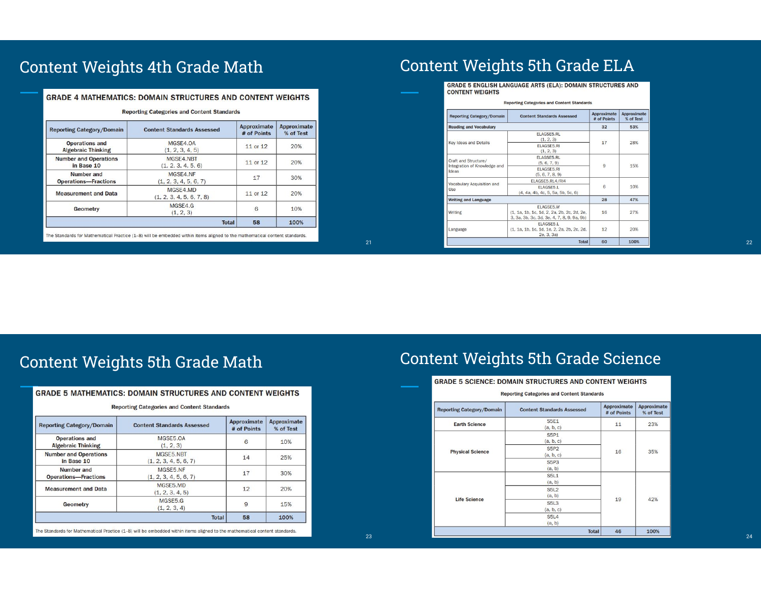### Content Weights 4th Grade Math

#### **GRADE 4 MATHEMATICS: DOMAIN STRUCTURES AND CONTENT WEIGHTS**

| <b>Reporting Category/Domain</b>                   | <b>Content Standards Assessed</b>    | Approximate<br># of Points | <b>Approximate</b><br>% of Test |
|----------------------------------------------------|--------------------------------------|----------------------------|---------------------------------|
| <b>Operations and</b><br><b>Algebraic Thinking</b> | MGSE4.0A<br>(1, 2, 3, 4, 5)          | 11 or 12                   | 20%                             |
| <b>Number and Operations</b><br>in Base 10         | MGSE4.NBT<br>(1, 2, 3, 4, 5, 6)      | 11 or 12                   | 20%                             |
| Number and<br><b>Operations-Fractions</b>          | MGSE4.NF<br>(1, 2, 3, 4, 5, 6, 7)    | 17                         | 30%                             |
| <b>Measurement and Data</b>                        | MGSE4.MD<br>(1, 2, 3, 4, 5, 6, 7, 8) | 11 or 12                   | 20%                             |
| <b>Geometry</b>                                    | MGSE4.G<br>(1, 2, 3)                 | 6                          | 10%                             |
|                                                    | <b>Total</b>                         | 58                         | 100%                            |

The Standards for Mathematical Practice (1-8) will be embedded within items aligned to the mathematical content standards.

23

### Content Weights 5th Grade ELA

**GRADE 5 ENGLISH LANGUAGE ARTS (ELA): DOMAIN STRUCTURES AND CONTENT WEIGHTS** 

| <b>Reporting Category/Domain</b>                     | <b>Content Standards Assessed</b>                                                                     | Approximate<br># of Points | Approximate<br>% of Test |
|------------------------------------------------------|-------------------------------------------------------------------------------------------------------|----------------------------|--------------------------|
| <b>Reading and Vocabulary</b>                        | 32                                                                                                    | 53%                        |                          |
|                                                      | <b>ELAGSE5.RL</b><br>(1, 2, 3)                                                                        | 17                         | 28%                      |
| Key Ideas and Details                                | ELAGSE5.RI<br>(1, 2, 3)                                                                               |                            |                          |
| Craft and Structure/<br>Integration of Knowledge and | <b>ELAGSE5.RL</b><br>(5, 6, 7, 9)                                                                     | 9                          | 15%                      |
| Ideas                                                | <b>ELAGSE5.RI</b><br>(5, 6, 7, 8, 9)                                                                  |                            |                          |
| Vocabulary Acquisition and                           | ELAGSE5.RL4/RI4                                                                                       | 6                          | 10%                      |
| <b>Use</b>                                           | FLAGSE5.L<br>(4, 4a, 4b, 4c, 5, 5a, 5b, 5c, 6)                                                        |                            |                          |
| <b>Writing and Language</b>                          |                                                                                                       | 28                         | 47%                      |
| Writing                                              | ELAGSE5.W<br>(1, 1a, 1b, 1c, 1d, 2, 2a, 2b, 2c, 2d, 2e,<br>3, 3a, 3b, 3c, 3d, 3e, 4, 7, 8, 9, 9a, 9b) | 16                         | 27%                      |
| Language                                             | ELAGSE5.L<br>(1, 1a, 1b, 1c, 1d, 1e, 2, 2a, 2b, 2c, 2d,<br>2e, 3, 3a)                                 | 12                         | 20%                      |
|                                                      | <b>Total</b>                                                                                          | 60                         | 100%                     |

### Content Weights 5th Grade Math

| <b>Reporting Category/Domain</b>                   | <b>Content Standards Assessed</b>  | <b>Approximate</b><br># of Points | Approximate<br>% of Test |
|----------------------------------------------------|------------------------------------|-----------------------------------|--------------------------|
| <b>Operations and</b><br><b>Algebraic Thinking</b> | MGSE5.0A<br>(1, 2, 3)              | 6                                 | 10%                      |
| <b>Number and Operations</b><br>in Base 10         | MGSE5.NBT<br>(1, 2, 3, 4, 5, 6, 7) | 14                                | 25%                      |
| Number and<br><b>Operations-Fractions</b>          | MGSE5.NF<br>(1, 2, 3, 4, 5, 6, 7)  | 17                                | 30%                      |
| <b>Measurement and Data</b>                        | MGSE5.MD<br>(1, 2, 3, 4, 5)        | 12                                | 20%                      |
| <b>Geometry</b>                                    | MGSE5.G<br>(1, 2, 3, 4)            | 9                                 | 15%                      |
|                                                    | <b>Total</b>                       | 58                                | 100%                     |

**GRADE 5 MATHEMATICS: DOMAIN STRUCTURES AND CONTENT WEIGHTS** 

The Standards for Mathematical Practice (1-8) will be embedded within items aligned to the mathematical content standards.

### Content Weights 5th Grade Science

| <b>Reporting Category/Domain</b> | <b>Content Standards Assessed</b> | Approximate<br># of Points | Approximate<br>% of Test |
|----------------------------------|-----------------------------------|----------------------------|--------------------------|
| <b>Earth Science</b>             | <b>S5E1</b><br>(a, b, c)          | 11                         | 23%                      |
|                                  | <b>S5P1</b><br>(a, b, c)          |                            | 35%<br>42%               |
| <b>Physical Science</b>          | <b>S5P2</b><br>(a, b, c)          | 16                         |                          |
|                                  | <b>S5P3</b><br>(a, b)             |                            |                          |
|                                  | <b>S5L1</b><br>(a, b)             |                            |                          |
|                                  | <b>S5L2</b><br>(a, b)             |                            |                          |
| <b>Life Science</b>              | <b>S5L3</b><br>(a, b, c)          | 19                         |                          |
|                                  | <b>S5L4</b><br>(a, b)             |                            |                          |
|                                  | <b>Total</b>                      | 46                         | 100%                     |

22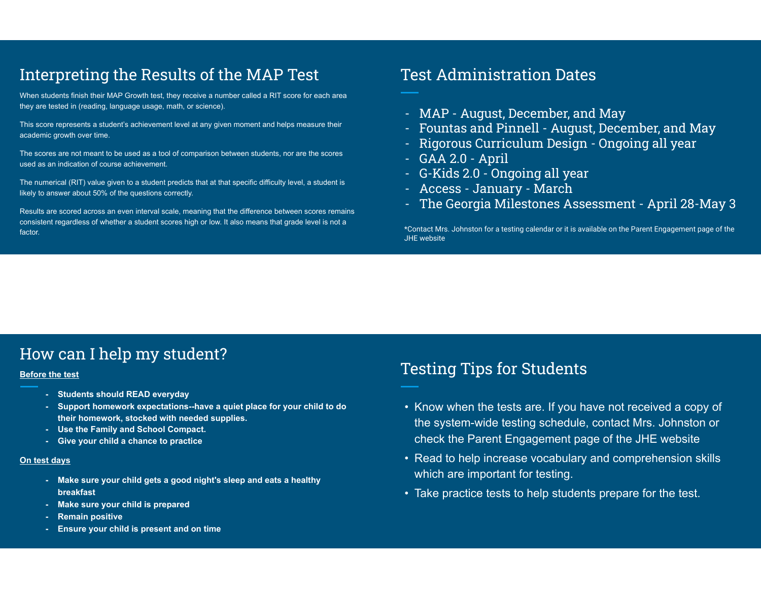### Interpreting the Results of the MAP Test

When students finish their MAP Growth test, they receive a number called a RIT score for each area they are tested in (reading, language usage, math, or science).

This score represents a student's achievement level at any given moment and helps measure their academic growth over time.

The scores are not meant to be used as a tool of comparison between students, nor are the scores used as an indication of course achievement.

The numerical (RIT) value given to a student predicts that at that specific difficulty level, a student is likely to answer about 50% of the questions correctly.

Results are scored across an even interval scale, meaning that the difference between scores remains consistent regardless of whether a student scores high or low. It also means that grade level is not a factor.

### Test Administration Dates

- MAP August, December, and May
- Fountas and Pinnell August, December, and May
- Rigorous Curriculum Design Ongoing all year
- GAA 2.0 April
- G-Kids 2.0 Ongoing all year
- Access January March
- The Georgia Milestones Assessment April 28-May 3

\*Contact Mrs. Johnston for a testing calendar or it is available on the Parent Engagement page of the JHE website

### How can I help my student?

#### **Before the test**

- **- Students should READ everyday**
- **- Support homework expectations--have a quiet place for your child to do their homework, stocked with needed supplies.**
- **- Use the Family and School Compact.**
- **- Give your child a chance to practice**

#### **On test days**

- **- Make sure your child gets a good night's sleep and eats a healthy breakfast**
- **- Make sure your child is prepared**
- **- Remain positive**
- **- Ensure your child is present and on time**

### Testing Tips for Students

- Know when the tests are. If you have not received a copy of the system-wide testing schedule, contact Mrs. Johnston or check the Parent Engagement page of the JHE website
- Read to help increase vocabulary and comprehension skills which are important for testing.
- Take practice tests to help students prepare for the test.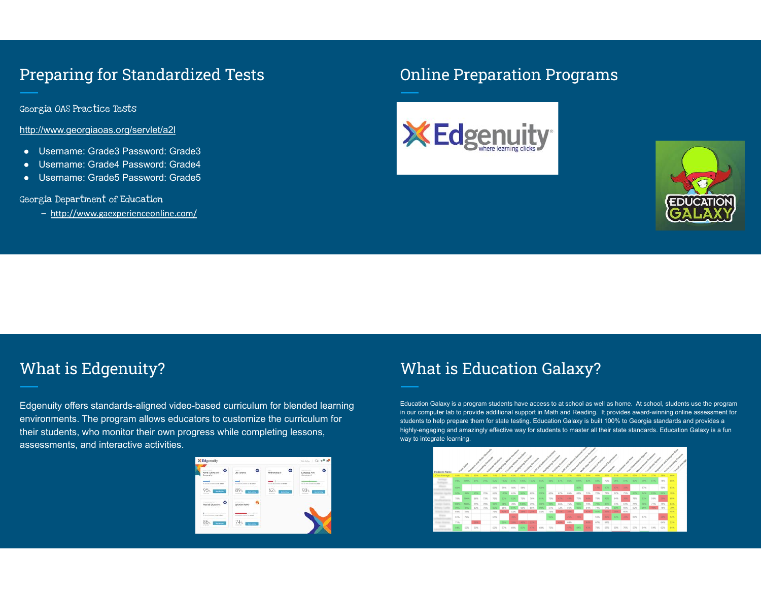### Preparing for Standardized Tests

Georgia OAS Practice Tests

http://www.georgiaoas.org/servlet/a2l

- Username: Grade3 Password: Grade3
- Username: Grade4 Password: Grade4
- Username: Grade5 Password: Grade5

#### Georgia Department of Education

– http://www.gaexperienceonline.com/

### Online Preparation Programs





### What is Edgenuity?

Edgenuity offers standards-aligned video-based curriculum for blended learning environments. The program allows educators to customize the curriculum for their students, who monitor their own progress while completing lessons, assessments, and interactive activities.



### What is Education Galaxy?

Education Galaxy is a program students have access to at school as well as home. At school, students use the program in our computer lab to provide additional support in Math and Reading. It provides award-winning online assessment for students to help prepare them for state testing. Education Galaxy is built 100% to Georgia standards and provides a highly-engaging and amazingly effective way for students to master all their state standards. Education Galaxy is a fun way to integrate learning.